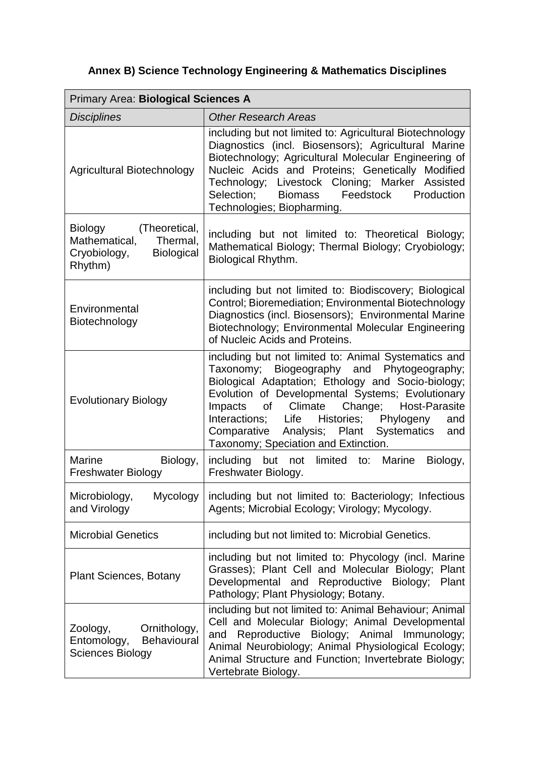## **Annex B) Science Technology Engineering & Mathematics Disciplines**

| Primary Area: Biological Sciences A                                                                   |                                                                                                                                                                                                                                                                                                                                                                                                                                                                                                                                                                                                                                                       |  |  |  |
|-------------------------------------------------------------------------------------------------------|-------------------------------------------------------------------------------------------------------------------------------------------------------------------------------------------------------------------------------------------------------------------------------------------------------------------------------------------------------------------------------------------------------------------------------------------------------------------------------------------------------------------------------------------------------------------------------------------------------------------------------------------------------|--|--|--|
| <b>Disciplines</b>                                                                                    | <b>Other Research Areas</b>                                                                                                                                                                                                                                                                                                                                                                                                                                                                                                                                                                                                                           |  |  |  |
| Agricultural Biotechnology                                                                            | including but not limited to: Agricultural Biotechnology<br>Diagnostics (incl. Biosensors); Agricultural Marine<br>Biotechnology; Agricultural Molecular Engineering of<br>Nucleic Acids and Proteins; Genetically Modified<br>Technology; Livestock Cloning; Marker Assisted<br>Feedstock<br>Production<br>Selection;<br>Biomass<br>Technologies; Biopharming.                                                                                                                                                                                                                                                                                       |  |  |  |
| (Theoretical,<br>Biology<br>Mathematical,<br>Thermal,<br>Cryobiology,<br><b>Biological</b><br>Rhythm) | including but not limited to: Theoretical Biology;<br>Mathematical Biology; Thermal Biology; Cryobiology;<br>Biological Rhythm.                                                                                                                                                                                                                                                                                                                                                                                                                                                                                                                       |  |  |  |
| Environmental<br>Biotechnology                                                                        | including but not limited to: Biodiscovery; Biological<br>Control; Bioremediation; Environmental Biotechnology<br>Diagnostics (incl. Biosensors); Environmental Marine<br>Biotechnology; Environmental Molecular Engineering<br>of Nucleic Acids and Proteins.                                                                                                                                                                                                                                                                                                                                                                                        |  |  |  |
| <b>Evolutionary Biology</b>                                                                           | including but not limited to: Animal Systematics and<br>Taxonomy; Biogeography and Phytogeography;<br>Biological Adaptation; Ethology and Socio-biology;<br>Evolution of Developmental Systems; Evolutionary<br>Climate<br>Change; Host-Parasite<br>Impacts<br>of the control of the control of the control of the control of the control of the control of the control of the control of the control of the control of the control of the control of the control of the control of the contr<br>Interactions; Life<br>Histories;<br>Phylogeny<br>and<br>Analysis; Plant<br>Systematics<br>Comparative<br>and<br>Taxonomy; Speciation and Extinction. |  |  |  |
| <b>Marine</b><br>Biology,<br><b>Freshwater Biology</b>                                                | including but not limited to: Marine<br>Biology,<br>Freshwater Biology.                                                                                                                                                                                                                                                                                                                                                                                                                                                                                                                                                                               |  |  |  |
| Microbiology,<br>Mycology<br>and Virology                                                             | including but not limited to: Bacteriology; Infectious<br>Agents; Microbial Ecology; Virology; Mycology.                                                                                                                                                                                                                                                                                                                                                                                                                                                                                                                                              |  |  |  |
| <b>Microbial Genetics</b>                                                                             | including but not limited to: Microbial Genetics.                                                                                                                                                                                                                                                                                                                                                                                                                                                                                                                                                                                                     |  |  |  |
| <b>Plant Sciences, Botany</b>                                                                         | including but not limited to: Phycology (incl. Marine<br>Grasses); Plant Cell and Molecular Biology; Plant<br>Developmental and Reproductive Biology;<br>Plant<br>Pathology; Plant Physiology; Botany.                                                                                                                                                                                                                                                                                                                                                                                                                                                |  |  |  |
| Ornithology,<br>Zoology,<br>Behavioural<br>Entomology,<br><b>Sciences Biology</b>                     | including but not limited to: Animal Behaviour; Animal<br>Cell and Molecular Biology; Animal Developmental<br>Reproductive<br>Biology; Animal Immunology;<br>and<br>Animal Neurobiology; Animal Physiological Ecology;<br>Animal Structure and Function; Invertebrate Biology;<br>Vertebrate Biology.                                                                                                                                                                                                                                                                                                                                                 |  |  |  |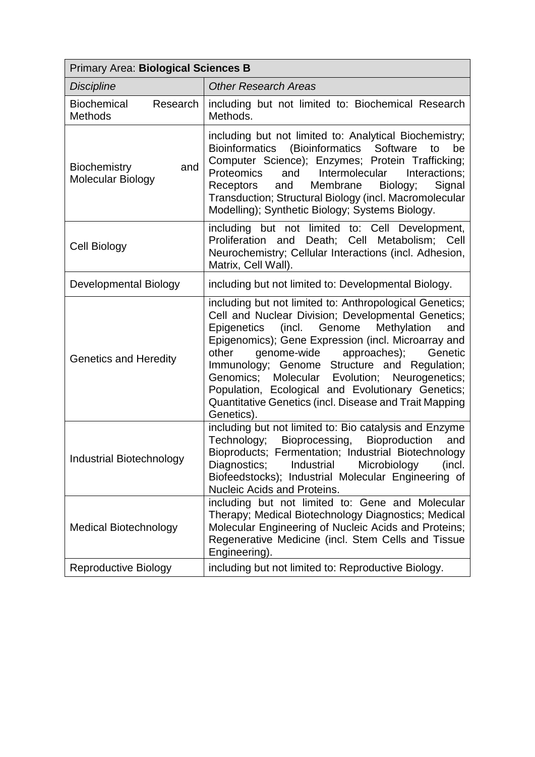| Primary Area: Biological Sciences B              |                                                                                                                                                                                                                                                                                                                                                                                                                                                                                                                          |  |  |  |  |
|--------------------------------------------------|--------------------------------------------------------------------------------------------------------------------------------------------------------------------------------------------------------------------------------------------------------------------------------------------------------------------------------------------------------------------------------------------------------------------------------------------------------------------------------------------------------------------------|--|--|--|--|
| <b>Discipline</b>                                | <b>Other Research Areas</b>                                                                                                                                                                                                                                                                                                                                                                                                                                                                                              |  |  |  |  |
| <b>Biochemical</b><br>Research<br><b>Methods</b> | including but not limited to: Biochemical Research<br>Methods.                                                                                                                                                                                                                                                                                                                                                                                                                                                           |  |  |  |  |
| <b>Biochemistry</b><br>and<br>Molecular Biology  | including but not limited to: Analytical Biochemistry;<br>Bioinformatics (Bioinformatics Software<br>be<br>to<br>Computer Science); Enzymes; Protein Trafficking;<br><b>Proteomics</b><br>and<br>Intermolecular<br>Interactions;<br>Receptors<br>and<br>Membrane<br>Biology;<br>Signal<br>Transduction; Structural Biology (incl. Macromolecular<br>Modelling); Synthetic Biology; Systems Biology.                                                                                                                      |  |  |  |  |
| Cell Biology                                     | including but not limited to: Cell Development,<br>Proliferation and Death; Cell Metabolism; Cell<br>Neurochemistry; Cellular Interactions (incl. Adhesion,<br>Matrix, Cell Wall).                                                                                                                                                                                                                                                                                                                                       |  |  |  |  |
| Developmental Biology                            | including but not limited to: Developmental Biology.                                                                                                                                                                                                                                                                                                                                                                                                                                                                     |  |  |  |  |
| <b>Genetics and Heredity</b>                     | including but not limited to: Anthropological Genetics;<br>Cell and Nuclear Division; Developmental Genetics;<br>(incl.<br>Genome<br>Methylation<br><b>Epigenetics</b><br>and<br>Epigenomics); Gene Expression (incl. Microarray and<br>other<br>genome-wide<br>approaches);<br>Genetic<br>Immunology; Genome Structure and Regulation;<br>Genomics;<br>Molecular Evolution; Neurogenetics;<br>Population, Ecological and Evolutionary Genetics;<br>Quantitative Genetics (incl. Disease and Trait Mapping<br>Genetics). |  |  |  |  |
| Industrial Biotechnology                         | including but not limited to: Bio catalysis and Enzyme<br>Bioprocessing,<br>Bioproduction<br>Technology;<br>and<br>Bioproducts; Fermentation; Industrial Biotechnology<br>Microbiology<br>Diagnostics;<br>Industrial<br>(incl.<br>Biofeedstocks); Industrial Molecular Engineering of<br>Nucleic Acids and Proteins.                                                                                                                                                                                                     |  |  |  |  |
| <b>Medical Biotechnology</b>                     | including but not limited to: Gene and Molecular<br>Therapy; Medical Biotechnology Diagnostics; Medical<br>Molecular Engineering of Nucleic Acids and Proteins;<br>Regenerative Medicine (incl. Stem Cells and Tissue<br>Engineering).                                                                                                                                                                                                                                                                                   |  |  |  |  |
| <b>Reproductive Biology</b>                      | including but not limited to: Reproductive Biology.                                                                                                                                                                                                                                                                                                                                                                                                                                                                      |  |  |  |  |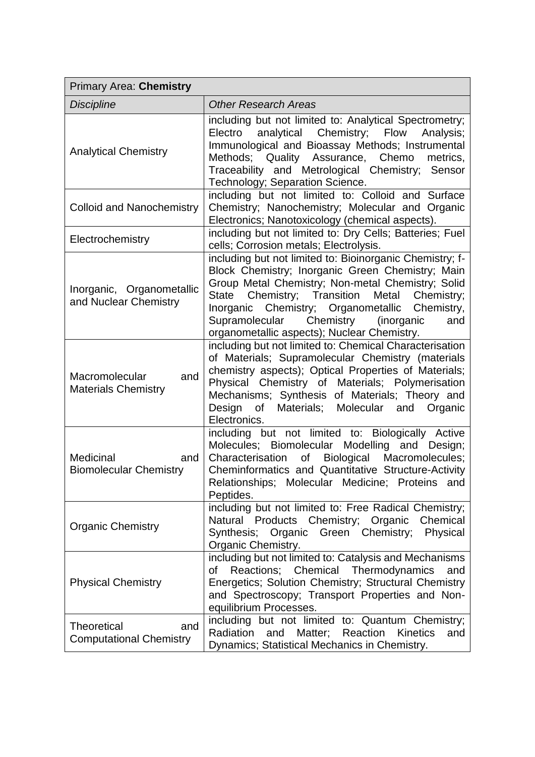| <b>Primary Area: Chemistry</b>                              |                                                                                                                                                                                                                                                                                                                                                                                 |  |  |
|-------------------------------------------------------------|---------------------------------------------------------------------------------------------------------------------------------------------------------------------------------------------------------------------------------------------------------------------------------------------------------------------------------------------------------------------------------|--|--|
| <b>Discipline</b>                                           | <b>Other Research Areas</b>                                                                                                                                                                                                                                                                                                                                                     |  |  |
| <b>Analytical Chemistry</b>                                 | including but not limited to: Analytical Spectrometry;<br>analytical<br>Chemistry;<br>Electro<br>Flow<br>Analysis;<br>Immunological and Bioassay Methods; Instrumental<br>Methods; Quality Assurance, Chemo<br>metrics,<br>Traceability and Metrological Chemistry; Sensor<br>Technology; Separation Science.                                                                   |  |  |
| <b>Colloid and Nanochemistry</b>                            | including but not limited to: Colloid and Surface<br>Chemistry; Nanochemistry; Molecular and Organic<br>Electronics; Nanotoxicology (chemical aspects).                                                                                                                                                                                                                         |  |  |
| Electrochemistry                                            | including but not limited to: Dry Cells; Batteries; Fuel<br>cells; Corrosion metals; Electrolysis.                                                                                                                                                                                                                                                                              |  |  |
| Inorganic, Organometallic<br>and Nuclear Chemistry          | including but not limited to: Bioinorganic Chemistry; f-<br>Block Chemistry; Inorganic Green Chemistry; Main<br>Group Metal Chemistry; Non-metal Chemistry; Solid<br>Chemistry; Transition<br>Metal<br>Chemistry;<br>State<br>Inorganic Chemistry; Organometallic Chemistry,<br>Chemistry<br>Supramolecular<br>(inorganic<br>and<br>organometallic aspects); Nuclear Chemistry. |  |  |
| Macromolecular<br>and<br><b>Materials Chemistry</b>         | including but not limited to: Chemical Characterisation<br>of Materials; Supramolecular Chemistry (materials<br>chemistry aspects); Optical Properties of Materials;<br>Physical Chemistry of Materials; Polymerisation<br>Mechanisms; Synthesis of Materials; Theory and<br>of Materials; Molecular and Organic<br>Design<br>Electronics.                                      |  |  |
| Medicinal<br>and<br><b>Biomolecular Chemistry</b>           | including but not limited to: Biologically Active<br>Biomolecular Modelling and<br>Molecules;<br>Design;<br>Biological Macromolecules;<br>Characterisation<br>of<br>Cheminformatics and Quantitative Structure-Activity<br>Relationships; Molecular Medicine; Proteins and<br>Peptides.                                                                                         |  |  |
| <b>Organic Chemistry</b>                                    | including but not limited to: Free Radical Chemistry;<br>Natural Products Chemistry; Organic<br>Chemical<br>Synthesis; Organic Green Chemistry;<br>Physical<br>Organic Chemistry.                                                                                                                                                                                               |  |  |
| <b>Physical Chemistry</b>                                   | including but not limited to: Catalysis and Mechanisms<br>Reactions; Chemical Thermodynamics<br>οf<br>and<br>Energetics; Solution Chemistry; Structural Chemistry<br>and Spectroscopy; Transport Properties and Non-<br>equilibrium Processes.                                                                                                                                  |  |  |
| <b>Theoretical</b><br>and<br><b>Computational Chemistry</b> | including but not limited to: Quantum Chemistry;<br>Radiation<br>and<br>Matter;<br>Reaction<br><b>Kinetics</b><br>and<br>Dynamics; Statistical Mechanics in Chemistry.                                                                                                                                                                                                          |  |  |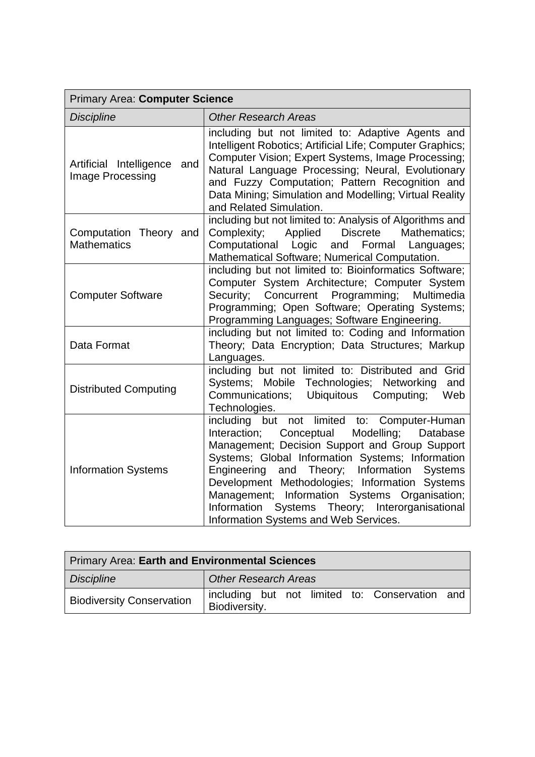| Primary Area: Computer Science                     |                                                                                                                                                                                                                                                                                                                                                                                                                                                                |  |  |  |
|----------------------------------------------------|----------------------------------------------------------------------------------------------------------------------------------------------------------------------------------------------------------------------------------------------------------------------------------------------------------------------------------------------------------------------------------------------------------------------------------------------------------------|--|--|--|
| <b>Discipline</b>                                  | <b>Other Research Areas</b>                                                                                                                                                                                                                                                                                                                                                                                                                                    |  |  |  |
| Artificial Intelligence<br>and<br>Image Processing | including but not limited to: Adaptive Agents and<br>Intelligent Robotics; Artificial Life; Computer Graphics;<br>Computer Vision; Expert Systems, Image Processing;<br>Natural Language Processing; Neural, Evolutionary<br>and Fuzzy Computation; Pattern Recognition and<br>Data Mining; Simulation and Modelling; Virtual Reality<br>and Related Simulation.                                                                                               |  |  |  |
| Computation Theory and<br><b>Mathematics</b>       | including but not limited to: Analysis of Algorithms and<br>Complexity;<br>Applied<br><b>Discrete</b><br>Mathematics:<br>Computational Logic<br>and Formal<br>Languages;<br>Mathematical Software; Numerical Computation.                                                                                                                                                                                                                                      |  |  |  |
| <b>Computer Software</b>                           | including but not limited to: Bioinformatics Software;<br>Computer System Architecture; Computer System<br>Concurrent Programming;<br>Multimedia<br>Security;<br>Programming; Open Software; Operating Systems;<br>Programming Languages; Software Engineering.                                                                                                                                                                                                |  |  |  |
| Data Format                                        | including but not limited to: Coding and Information<br>Theory; Data Encryption; Data Structures; Markup<br>Languages.                                                                                                                                                                                                                                                                                                                                         |  |  |  |
| <b>Distributed Computing</b>                       | including but not limited to: Distributed and Grid<br>Systems; Mobile Technologies;<br>Networking<br>and<br>Communications;<br><b>Ubiquitous</b><br>Computing;<br>Web<br>Technologies.                                                                                                                                                                                                                                                                         |  |  |  |
| <b>Information Systems</b>                         | including but<br>not limited to: Computer-Human<br>Modelling;<br>Interaction;<br>Conceptual<br>Database<br>Management; Decision Support and Group Support<br>Systems; Global Information Systems; Information<br>Engineering and Theory; Information Systems<br>Development Methodologies; Information Systems<br>Management; Information Systems Organisation;<br>Systems Theory; Interorganisational<br>Information<br>Information Systems and Web Services. |  |  |  |

| Primary Area: Earth and Environmental Sciences |                             |  |  |  |                                                |  |
|------------------------------------------------|-----------------------------|--|--|--|------------------------------------------------|--|
| <b>Discipline</b>                              | <b>Other Research Areas</b> |  |  |  |                                                |  |
| <b>Biodiversity Conservation</b>               | Biodiversity.               |  |  |  | including but not limited to: Conservation and |  |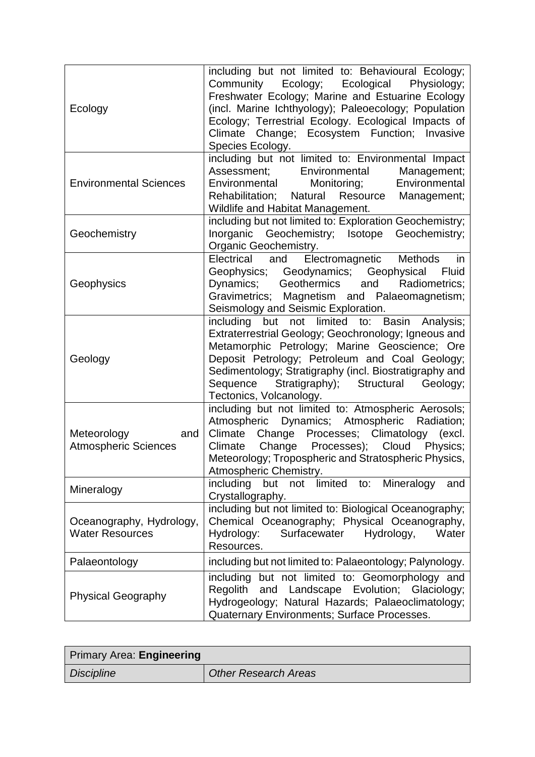| Ecology                                            | including but not limited to: Behavioural Ecology;<br>Community Ecology; Ecological<br>Physiology;<br>Freshwater Ecology; Marine and Estuarine Ecology<br>(incl. Marine Ichthyology); Paleoecology; Population<br>Ecology; Terrestrial Ecology. Ecological Impacts of<br>Climate Change; Ecosystem Function; Invasive<br>Species Ecology.       |
|----------------------------------------------------|-------------------------------------------------------------------------------------------------------------------------------------------------------------------------------------------------------------------------------------------------------------------------------------------------------------------------------------------------|
| <b>Environmental Sciences</b>                      | including but not limited to: Environmental Impact<br>Assessment;<br>Environmental<br>Management;<br>Environmental<br>Environmental<br>Monitoring;<br>Rehabilitation; Natural Resource Management;<br>Wildlife and Habitat Management.                                                                                                          |
| Geochemistry                                       | including but not limited to: Exploration Geochemistry;<br>Inorganic Geochemistry; Isotope Geochemistry;<br>Organic Geochemistry.                                                                                                                                                                                                               |
| Geophysics                                         | Electromagnetic Methods<br>Electrical<br>and<br>in<br>Geophysics; Geodynamics; Geophysical<br>Fluid<br>Dynamics; Geothermics and Radiometrics;<br>Gravimetrics; Magnetism and Palaeomagnetism;<br>Seismology and Seismic Exploration.                                                                                                           |
| Geology                                            | including but not limited to: Basin Analysis;<br>Extraterrestrial Geology; Geochronology; Igneous and<br>Metamorphic Petrology; Marine Geoscience; Ore<br>Deposit Petrology; Petroleum and Coal Geology;<br>Sedimentology; Stratigraphy (incl. Biostratigraphy and<br>Stratigraphy); Structural Geology;<br>Sequence<br>Tectonics, Volcanology. |
| Meteorology<br>and<br><b>Atmospheric Sciences</b>  | including but not limited to: Atmospheric Aerosols;<br>Atmospheric Dynamics; Atmospheric Radiation;<br>Climate Change Processes; Climatology (excl.<br>Change Processes); Cloud Physics;<br>Climate<br>Meteorology; Tropospheric and Stratospheric Physics,<br>Atmospheric Chemistry.                                                           |
| Mineralogy                                         | including<br>limited<br>Mineralogy<br>but<br>not<br>to:<br>and<br>Crystallography.                                                                                                                                                                                                                                                              |
| Oceanography, Hydrology,<br><b>Water Resources</b> | including but not limited to: Biological Oceanography;<br>Chemical Oceanography; Physical Oceanography,<br>Hydrology:<br>Surfacewater<br>Hydrology,<br>Water<br>Resources.                                                                                                                                                                      |
| Palaeontology                                      | including but not limited to: Palaeontology; Palynology.                                                                                                                                                                                                                                                                                        |
| <b>Physical Geography</b>                          | including<br>but not limited to: Geomorphology and<br>Regolith<br>and Landscape Evolution; Glaciology;<br>Hydrogeology; Natural Hazards; Palaeoclimatology;<br>Quaternary Environments; Surface Processes.                                                                                                                                      |

| <b>Primary Area: Engineering</b> |                      |
|----------------------------------|----------------------|
| <b>Discipline</b>                | Other Research Areas |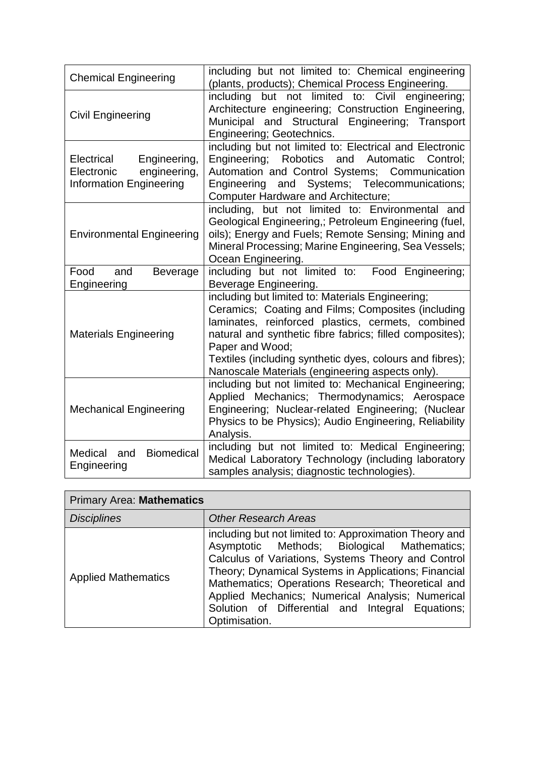| <b>Chemical Engineering</b>                                                                | including but not limited to: Chemical engineering<br>(plants, products); Chemical Process Engineering.                                                                                                                                                                                                                                                   |
|--------------------------------------------------------------------------------------------|-----------------------------------------------------------------------------------------------------------------------------------------------------------------------------------------------------------------------------------------------------------------------------------------------------------------------------------------------------------|
| <b>Civil Engineering</b>                                                                   | including<br>but not limited to: Civil engineering;<br>Architecture engineering; Construction Engineering,<br>Municipal and Structural Engineering; Transport<br>Engineering; Geotechnics.                                                                                                                                                                |
| Electrical<br>Engineering,<br>engineering,<br>Electronic<br><b>Information Engineering</b> | including but not limited to: Electrical and Electronic<br>Engineering; Robotics<br>and<br>Automatic<br>Control:<br>Automation and Control Systems; Communication<br>Engineering and Systems; Telecommunications;<br><b>Computer Hardware and Architecture;</b>                                                                                           |
| <b>Environmental Engineering</b>                                                           | including, but not limited to: Environmental and<br>Geological Engineering,; Petroleum Engineering (fuel,<br>oils); Energy and Fuels; Remote Sensing; Mining and<br>Mineral Processing; Marine Engineering, Sea Vessels;<br>Ocean Engineering.                                                                                                            |
| Food<br>and<br><b>Beverage</b><br>Engineering                                              | including but not limited to: Food Engineering;<br>Beverage Engineering.                                                                                                                                                                                                                                                                                  |
| <b>Materials Engineering</b>                                                               | including but limited to: Materials Engineering;<br>Ceramics; Coating and Films; Composites (including<br>laminates, reinforced plastics, cermets, combined<br>natural and synthetic fibre fabrics; filled composites);<br>Paper and Wood;<br>Textiles (including synthetic dyes, colours and fibres);<br>Nanoscale Materials (engineering aspects only). |
| <b>Mechanical Engineering</b>                                                              | including but not limited to: Mechanical Engineering;<br>Applied Mechanics; Thermodynamics; Aerospace<br>Engineering; Nuclear-related Engineering; (Nuclear<br>Physics to be Physics); Audio Engineering, Reliability<br>Analysis.                                                                                                                        |
| <b>Biomedical</b><br>Medical and<br>Engineering                                            | including but not limited to: Medical Engineering;<br>Medical Laboratory Technology (including laboratory<br>samples analysis; diagnostic technologies).                                                                                                                                                                                                  |

| <b>Primary Area: Mathematics</b> |                                                                                                                                                                                                                                                                                                                                                                                                   |
|----------------------------------|---------------------------------------------------------------------------------------------------------------------------------------------------------------------------------------------------------------------------------------------------------------------------------------------------------------------------------------------------------------------------------------------------|
| <b>Disciplines</b>               | <b>Other Research Areas</b>                                                                                                                                                                                                                                                                                                                                                                       |
| <b>Applied Mathematics</b>       | including but not limited to: Approximation Theory and<br>Asymptotic Methods; Biological Mathematics;<br>Calculus of Variations, Systems Theory and Control<br>Theory; Dynamical Systems in Applications; Financial<br>Mathematics; Operations Research; Theoretical and<br>Applied Mechanics; Numerical Analysis; Numerical<br>Solution of Differential and Integral Equations;<br>Optimisation. |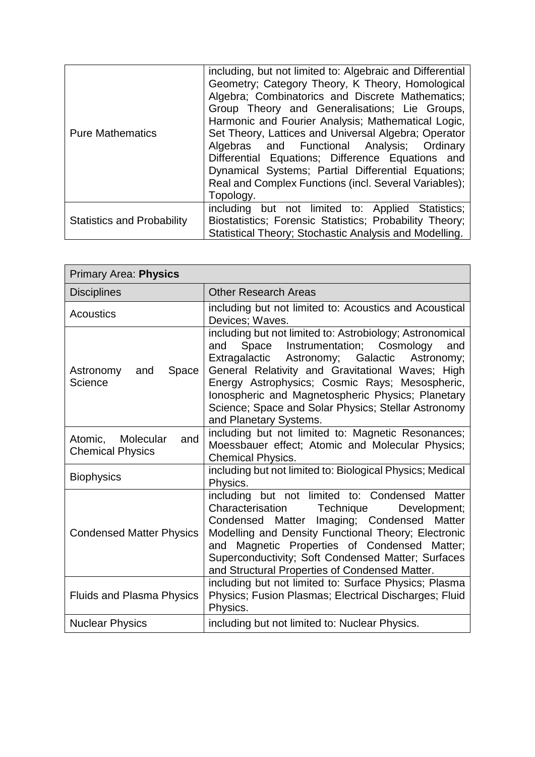| <b>Pure Mathematics</b>           | including, but not limited to: Algebraic and Differential<br>Geometry; Category Theory, K Theory, Homological<br>Algebra; Combinatorics and Discrete Mathematics;<br>Group Theory and Generalisations; Lie Groups,<br>Harmonic and Fourier Analysis; Mathematical Logic,<br>Set Theory, Lattices and Universal Algebra; Operator<br>Algebras and Functional Analysis; Ordinary<br>Differential Equations; Difference Equations and<br>Dynamical Systems; Partial Differential Equations;<br>Real and Complex Functions (incl. Several Variables);<br>Topology. |
|-----------------------------------|----------------------------------------------------------------------------------------------------------------------------------------------------------------------------------------------------------------------------------------------------------------------------------------------------------------------------------------------------------------------------------------------------------------------------------------------------------------------------------------------------------------------------------------------------------------|
|                                   | including but not limited to: Applied Statistics;                                                                                                                                                                                                                                                                                                                                                                                                                                                                                                              |
| <b>Statistics and Probability</b> | Biostatistics; Forensic Statistics; Probability Theory;<br>Statistical Theory; Stochastic Analysis and Modelling.                                                                                                                                                                                                                                                                                                                                                                                                                                              |

| <b>Primary Area: Physics</b>                           |                                                                                                                                                                                                                                                                                                                                                                                                              |
|--------------------------------------------------------|--------------------------------------------------------------------------------------------------------------------------------------------------------------------------------------------------------------------------------------------------------------------------------------------------------------------------------------------------------------------------------------------------------------|
| <b>Disciplines</b>                                     | <b>Other Research Areas</b>                                                                                                                                                                                                                                                                                                                                                                                  |
| Acoustics                                              | including but not limited to: Acoustics and Acoustical<br>Devices; Waves.                                                                                                                                                                                                                                                                                                                                    |
| Space<br>Astronomy<br>and<br>Science                   | including but not limited to: Astrobiology; Astronomical<br>Instrumentation; Cosmology<br>Space<br>and<br>and<br>Extragalactic Astronomy; Galactic<br>Astronomy;<br>General Relativity and Gravitational Waves; High<br>Energy Astrophysics; Cosmic Rays; Mesospheric,<br>Ionospheric and Magnetospheric Physics; Planetary<br>Science; Space and Solar Physics; Stellar Astronomy<br>and Planetary Systems. |
| Molecular<br>Atomic,<br>and<br><b>Chemical Physics</b> | including but not limited to: Magnetic Resonances;<br>Moessbauer effect; Atomic and Molecular Physics;<br><b>Chemical Physics.</b>                                                                                                                                                                                                                                                                           |
| <b>Biophysics</b>                                      | including but not limited to: Biological Physics; Medical<br>Physics.                                                                                                                                                                                                                                                                                                                                        |
| <b>Condensed Matter Physics</b>                        | including but not limited to: Condensed Matter<br>Characterisation Technique<br>Development;<br>Condensed Matter<br>Imaging; Condensed Matter<br>Modelling and Density Functional Theory; Electronic<br>Magnetic Properties of Condensed Matter;<br>and<br>Superconductivity; Soft Condensed Matter; Surfaces<br>and Structural Properties of Condensed Matter.                                              |
| <b>Fluids and Plasma Physics</b>                       | including but not limited to: Surface Physics; Plasma<br>Physics; Fusion Plasmas; Electrical Discharges; Fluid<br>Physics.                                                                                                                                                                                                                                                                                   |
| <b>Nuclear Physics</b>                                 | including but not limited to: Nuclear Physics.                                                                                                                                                                                                                                                                                                                                                               |